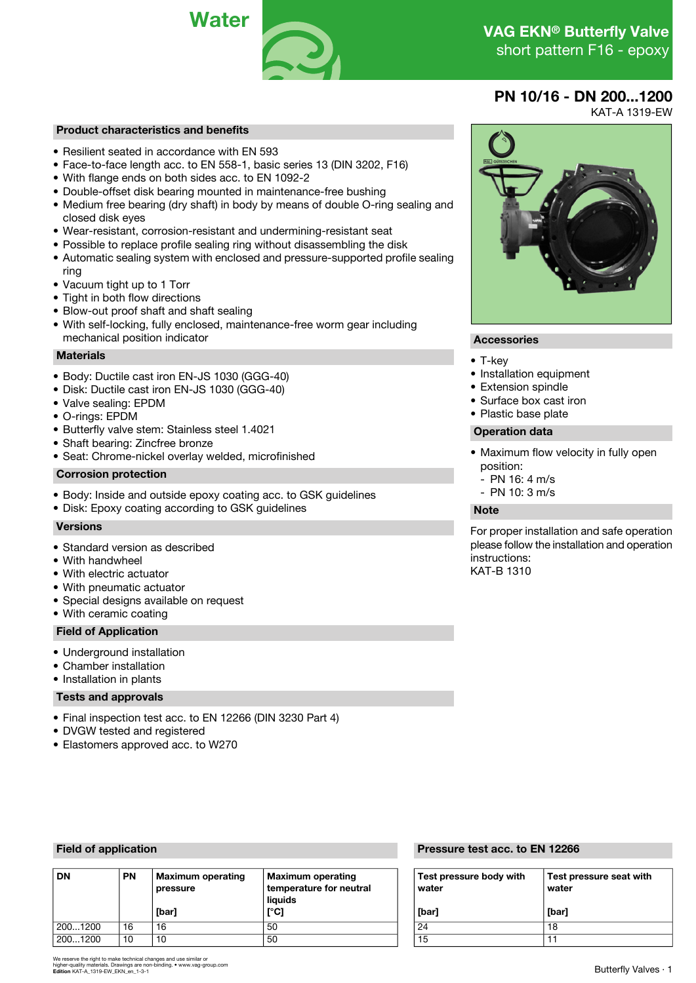

### **PN 10/16 - DN 200...1200**

KAT-A 1319-EW

# **Product characteristics and benefits**

- Resilient seated in accordance with EN 593
- Face-to-face length acc. to EN 558-1, basic series 13 (DIN 3202, F16)
- With flange ends on both sides acc. to EN 1092-2
- Double-offset disk bearing mounted in maintenance-free bushing
- Medium free bearing (dry shaft) in body by means of double O-ring sealing and closed disk eyes
- Wear-resistant, corrosion-resistant and undermining-resistant seat
- Possible to replace profile sealing ring without disassembling the disk
- Automatic sealing system with enclosed and pressure-supported profile sealing ring
- Vacuum tight up to 1 Torr
- Tight in both flow directions
- Blow-out proof shaft and shaft sealing
- With self-locking, fully enclosed, maintenance-free worm gear including mechanical position indicator **Accessories Accessories**

# **Materials** • T-key

- Body: Ductile cast iron EN-JS 1030 (GGG-40) **· Installation equipment** Installation equipment Installation equipment City installation equipment City in Extension spindle
- Disk: Ductile cast iron EN-JS 1030 (GGG-40) Extension spindle
- Valve sealing: EPDM Surface box cast in the Surface box cast in the Surface box cast in the Surface box cast in the Surface box cast in the Surface box cast in the Surface box cast in the Surface box cast in the Surfac
- O-rinas: EPDM
- Butterfly valve stem: Stainless steel 1.4021 **Operation data**
- Shaft bearing: Zincfree bronze
- Seat: Chrome-nickel overlay welded, microfinished

### **Corrosion protection**

- Body: Inside and outside epoxy coating acc. to GSK quidelines
- Disk: Epoxy coating according to GSK guidelines **Note**

- Standard version as described
- With handwheel
- $\bullet$  With electric actuator
- With pneumatic actuator
- Special designs available on request
- With ceramic coating

### **Field of Application**

- Underground installation
- Chamber installation
- Installation in plants

### **Tests and approvals**

- Final inspection test acc. to EN 12266 (DIN 3230 Part 4)
- DVGW tested and registered
- Elastomers approved acc. to W270

| <b>DN</b> | <b>PN</b> | <b>Maximum operating</b><br>pressure | <b>Maximum operating</b><br>temperature for neutral<br>liauids | Test pressure body with<br>water |       |  |  |
|-----------|-----------|--------------------------------------|----------------------------------------------------------------|----------------------------------|-------|--|--|
|           |           | [bar]                                | [°C]                                                           | [bar]                            | [bar] |  |  |
| 2001200   | 16        | 16                                   | 50                                                             | 24                               | 18    |  |  |
| 2001200   | 10        | 10                                   | 50                                                             | 15                               |       |  |  |

rve the right to make technical changes and use similar or<br>uality materials. Drawings are non-binding. • www.vag-group.con higher-quality materials. Drawings are non-binding. • www.vag-group.com **Edition** KAT-A\_1319-EW\_EKN\_en\_1-3-1

## **Field of application Pressure test acc. to EN 12266**

| Test pressure body with<br>water | Test pressure seat with<br>water |
|----------------------------------|----------------------------------|
| [bar]                            | [bar]                            |
| 24                               | 18                               |
| 15                               |                                  |

- 
- 
- 
- 
- 

- Maximum flow velocity in fully open position:
	- PN 16: 4 m/s
	-

**Versions For proper installation and safe operation** please follow the installation and operation instructions:<br>KAT-B 1310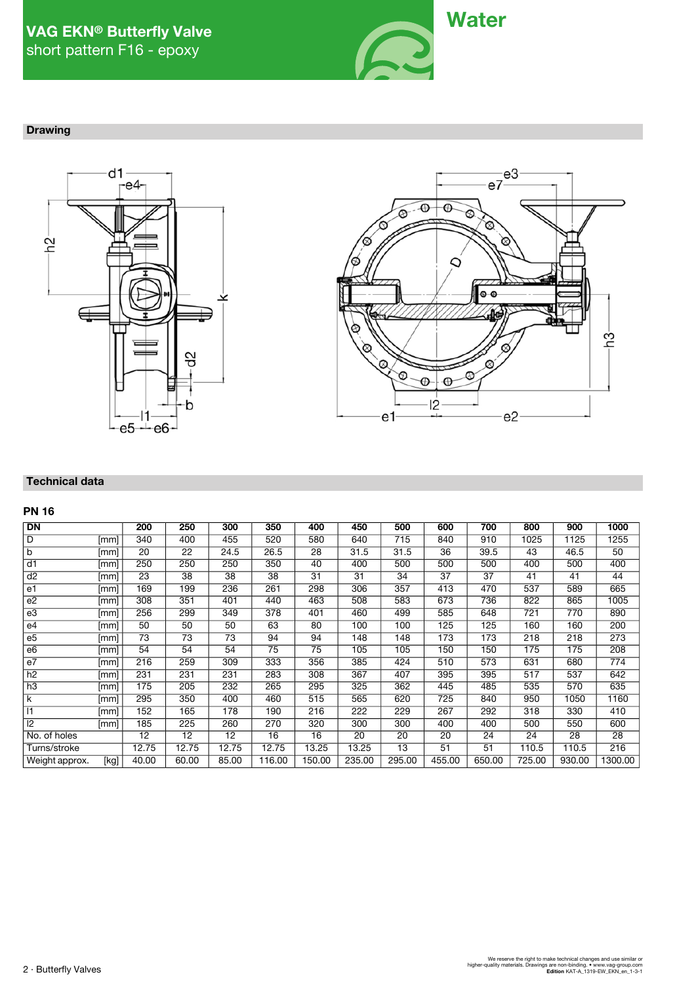

### **Drawing**





### **Technical data**

### **PN 16**

| <b>DN</b>       |      | 200   | 250             | 300             | 350    | 400             | 450    | 500    | 600             | 700    | 800    | 900    | 1000    |
|-----------------|------|-------|-----------------|-----------------|--------|-----------------|--------|--------|-----------------|--------|--------|--------|---------|
| D               | [mm] | 340   | 400             | 455             | 520    | 580             | 640    | 715    | 840             | 910    | 1025   | 1125   | 1255    |
| b               | [mm] | 20    | 22              | 24.5            | 26.5   | 28              | 31.5   | 31.5   | 36              | 39.5   | 43     | 46.5   | 50      |
| $\overline{d1}$ | [mm] | 250   | 250             | 250             | 350    | 40              | 400    | 500    | 500             | 500    | 400    | 500    | 400     |
| d2              | [mm] | 23    | $\overline{38}$ | $\overline{38}$ | 38     | $\overline{31}$ | 31     | 34     | $\overline{37}$ | 37     | 41     | 41     | 44      |
| e1              | [mm] | 169   | 199             | 236             | 261    | 298             | 306    | 357    | 413             | 470    | 537    | 589    | 665     |
| e2              | [mm] | 308   | 351             | 401             | 440    | 463             | 508    | 583    | 673             | 736    | 822    | 865    | 1005    |
| e3              | mm   | 256   | 299             | 349             | 378    | 401             | 460    | 499    | 585             | 648    | 721    | 770    | 890     |
| e4              | [mm] | 50    | 50              | 50              | 63     | 80              | 100    | 100    | 125             | 125    | 160    | 160    | 200     |
| e <sub>5</sub>  | [mm] | 73    | 73              | 73              | 94     | 94              | 148    | 148    | 173             | 173    | 218    | 218    | 273     |
| e <sub>6</sub>  | [mm] | 54    | 54              | 54              | 75     | 75              | 105    | 105    | 150             | 150    | 175    | 175    | 208     |
| e7              | [mm] | 216   | 259             | 309             | 333    | 356             | 385    | 424    | 510             | 573    | 631    | 680    | 774     |
| h2              | [mm] | 231   | 231             | 231             | 283    | 308             | 367    | 407    | 395             | 395    | 517    | 537    | 642     |
| h3              | [mm] | 175   | 205             | 232             | 265    | 295             | 325    | 362    | 445             | 485    | 535    | 570    | 635     |
| k               | mm   | 295   | 350             | 400             | 460    | 515             | 565    | 620    | 725             | 840    | 950    | 1050   | 1160    |
| 1               | [mm] | 152   | 165             | 178             | 190    | 216             | 222    | 229    | 267             | 292    | 318    | 330    | 410     |
| 2               | [mm] | 185   | 225             | 260             | 270    | 320             | 300    | 300    | 400             | 400    | 500    | 550    | 600     |
| No. of holes    |      | 12    | 12              | 12              | 16     | 16              | 20     | 20     | 20              | 24     | 24     | 28     | 28      |
| Turns/stroke    |      | 12.75 | 12.75           | 12.75           | 12.75  | 13.25           | 13.25  | 13     | 51              | 51     | 110.5  | 110.5  | 216     |
| Weight approx.  | [kg] | 40.00 | 60.00           | 85.00           | 116.00 | 150.00          | 235.00 | 295.00 | 455.00          | 650.00 | 725.00 | 930.00 | 1300.00 |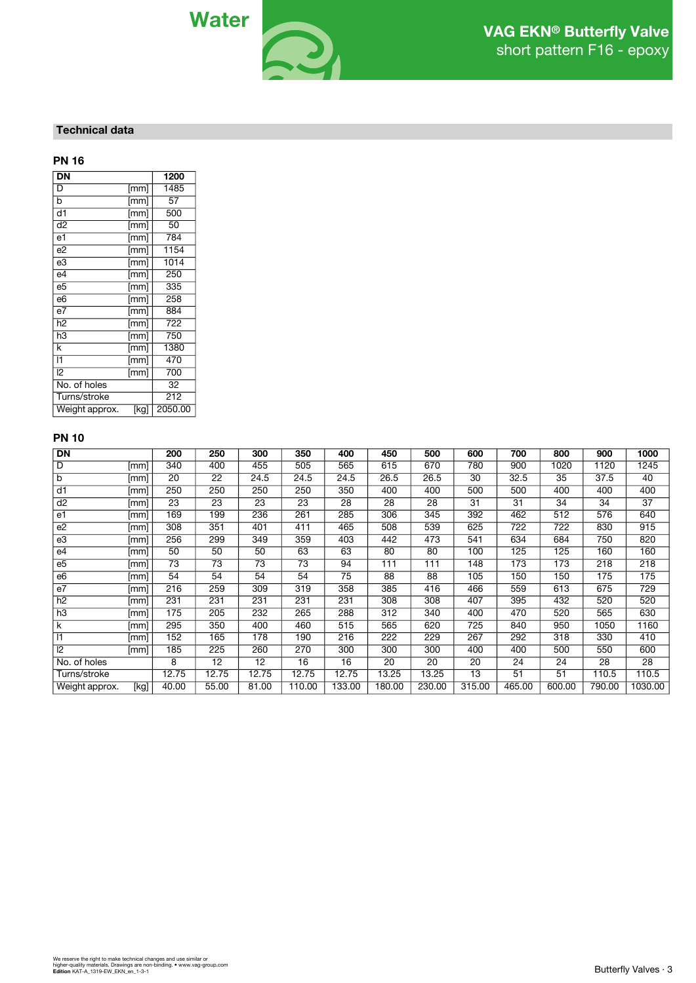

### **Technical data**

### **PN 16**

| DN              |                              | 1200    |
|-----------------|------------------------------|---------|
| D               | [mm]                         | 1485    |
| b               | [mm]                         | 57      |
| d1              | [mm]                         | 500     |
| d2              | [mm]                         | 50      |
| e1              | [mm]                         | 784     |
| e2              | [mm]                         | 1154    |
| $_{\rm e3}$     | [mm]                         | 1014    |
| e4              | [mm]                         | 250     |
| e5              | [mm]                         | 335     |
| e6              | [mm]                         | 258     |
| $\overline{e7}$ | $\overline{[} \mathsf{mm} ]$ | 884     |
| h <sub>2</sub>  | [mm]                         | 722     |
| $h\bar{3}$      | [mm]                         | 750     |
| k               | [mm]                         | 1380    |
| 11              | [mm]                         | 470     |
| $\overline{2}$  | [mm]                         | 700     |
| No. of holes    |                              | 32      |
| Turns/stroke    |                              | 212     |
| Weight approx.  | [kg]                         | 2050.00 |

### **PN 10**

| <b>DN</b>      |      | 200   | 250   | 300             | 350    | 400    | 450    | 500    | 600    | 700    | 800    | 900    | 1000    |
|----------------|------|-------|-------|-----------------|--------|--------|--------|--------|--------|--------|--------|--------|---------|
| D              | [mm] | 340   | 400   | 455             | 505    | 565    | 615    | 670    | 780    | 900    | 1020   | 1120   | 1245    |
| b              | [mm] | 20    | 22    | 24.5            | 24.5   | 24.5   | 26.5   | 26.5   | 30     | 32.5   | 35     | 37.5   | 40      |
| d1             | [mm] | 250   | 250   | 250             | 250    | 350    | 400    | 400    | 500    | 500    | 400    | 400    | 400     |
| d <sub>2</sub> | [mm] | 23    | 23    | 23              | 23     | 28     | 28     | 28     | 31     | 31     | 34     | 34     | 37      |
| e1             | [mm] | 169   | 199   | 236             | 261    | 285    | 306    | 345    | 392    | 462    | 512    | 576    | 640     |
| e <sub>2</sub> | [mm] | 308   | 351   | 401             | 411    | 465    | 508    | 539    | 625    | 722    | 722    | 830    | 915     |
| e3             | [mm] | 256   | 299   | 349             | 359    | 403    | 442    | 473    | 541    | 634    | 684    | 750    | 820     |
| e4             | [mm] | 50    | 50    | 50              | 63     | 63     | 80     | 80     | 100    | 125    | 125    | 160    | 160     |
| e <sub>5</sub> | [mm] | 73    | 73    | 73              | 73     | 94     | 111    | 111    | 148    | 173    | 173    | 218    | 218     |
| e <sub>6</sub> | [mm] | 54    | 54    | 54              | 54     | 75     | 88     | 88     | 105    | 150    | 150    | 175    | 175     |
| e7             | [mm] | 216   | 259   | 309             | 319    | 358    | 385    | 416    | 466    | 559    | 613    | 675    | 729     |
| h2             | [mm] | 231   | 231   | 231             | 231    | 231    | 308    | 308    | 407    | 395    | 432    | 520    | 520     |
| h3             | mm   | 175   | 205   | 232             | 265    | 288    | 312    | 340    | 400    | 470    | 520    | 565    | 630     |
| k              | [mm] | 295   | 350   | 400             | 460    | 515    | 565    | 620    | 725    | 840    | 950    | 1050   | 1160    |
| 11             | [mm] | 152   | 165   | 178             | 190    | 216    | 222    | 229    | 267    | 292    | 318    | 330    | 410     |
| 2              | [mm] | 185   | 225   | 260             | 270    | 300    | 300    | 300    | 400    | 400    | 500    | 550    | 600     |
| No. of holes   |      | 8     | 12    | $\overline{12}$ | 16     | 16     | 20     | 20     | 20     | 24     | 24     | 28     | 28      |
| Turns/stroke   |      | 12.75 | 12.75 | 12.75           | 12.75  | 12.75  | 13.25  | 13.25  | 13     | 51     | 51     | 110.5  | 110.5   |
| Weight approx. | [kg] | 40.00 | 55.00 | 81.00           | 110.00 | 133.00 | 180.00 | 230.00 | 315.00 | 465.00 | 600.00 | 790.00 | 1030.00 |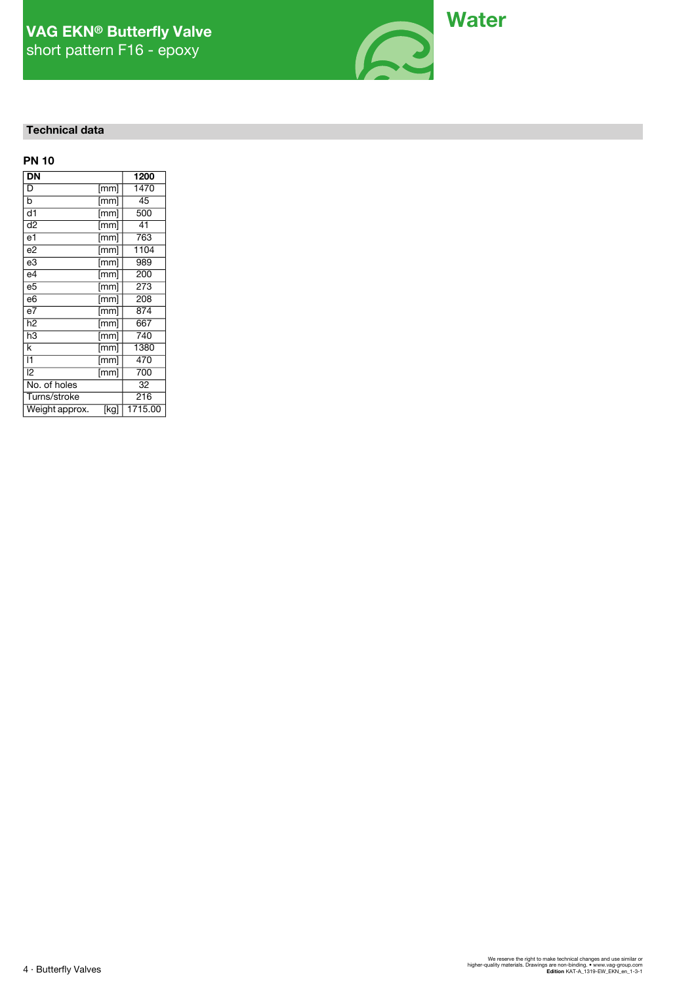# short pattern F16 - epoxy



### **Technical data**

| <b>PN 10</b>             |                          |         |
|--------------------------|--------------------------|---------|
| $\overline{\mathsf{DN}}$ |                          | 1200    |
| D                        | [mm]                     | 1470    |
| b                        | [mm]                     | 45      |
| $\overline{d1}$          | [mm]                     | 500     |
| $\overline{d}$           | [mm]                     | 41      |
| e1                       | [mm]                     | 763     |
| e2                       | [mm]                     | 1104    |
| $_{\rm e3}$              | $\overline{[mm]}$        | 989     |
| $e\overline{4}$          | $\overline{[mm]}$        | 200     |
| e5                       | $\overline{[mm]}$        | 273     |
| $\overline{6}$           | [mm]                     | 208     |
| $\overline{e7}$          | [mm]                     | 874     |
| h <sub>2</sub>           | [mm]                     | 667     |
| h3                       | $\overline{\text{[mm]}}$ | 740     |
| k                        | [mm]                     | 1380    |
| 11                       | [mm]                     | 470     |
| 12                       | [mm]                     | 700     |
| No. of holes             |                          | 32      |
| Turns/stroke             |                          | 216     |
| Weight approx.           | [kg]                     | 1715.00 |